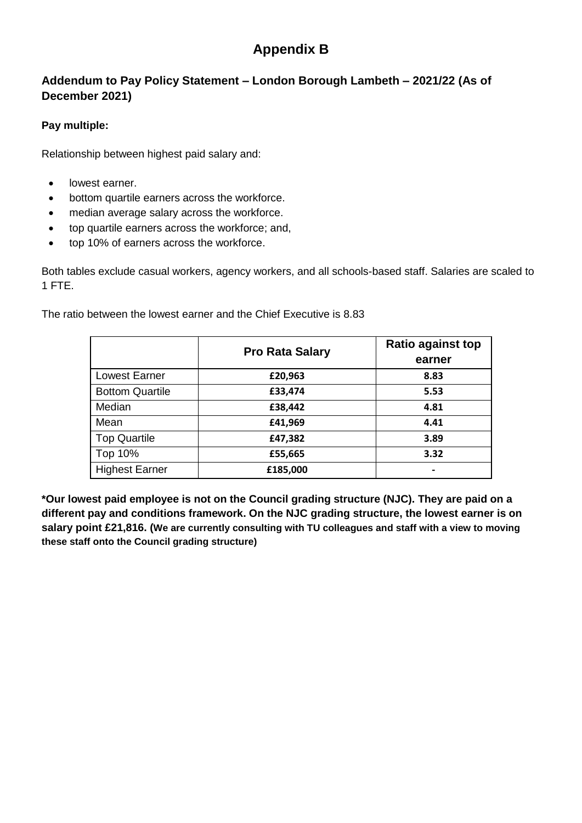# **Appendix B**

## **Addendum to Pay Policy Statement – London Borough Lambeth – 2021/22 (As of December 2021)**

### **Pay multiple:**

Relationship between highest paid salary and:

- lowest earner.
- bottom quartile earners across the workforce.
- median average salary across the workforce.
- top quartile earners across the workforce; and,
- top 10% of earners across the workforce.

Both tables exclude casual workers, agency workers, and all schools-based staff. Salaries are scaled to 1 FTE.

The ratio between the lowest earner and the Chief Executive is 8.83

|                        | <b>Pro Rata Salary</b> | <b>Ratio against top</b><br>earner |  |
|------------------------|------------------------|------------------------------------|--|
| <b>Lowest Earner</b>   | £20,963                | 8.83                               |  |
| <b>Bottom Quartile</b> | £33,474                | 5.53                               |  |
| Median                 | £38,442                | 4.81                               |  |
| Mean                   | £41,969                | 4.41                               |  |
| <b>Top Quartile</b>    | £47,382                | 3.89                               |  |
| Top 10%                | £55,665                | 3.32                               |  |
| <b>Highest Earner</b>  | £185,000               | $\,$                               |  |

**\*Our lowest paid employee is not on the Council grading structure (NJC). They are paid on a different pay and conditions framework. On the NJC grading structure, the lowest earner is on salary point £21,816. (We are currently consulting with TU colleagues and staff with a view to moving these staff onto the Council grading structure)**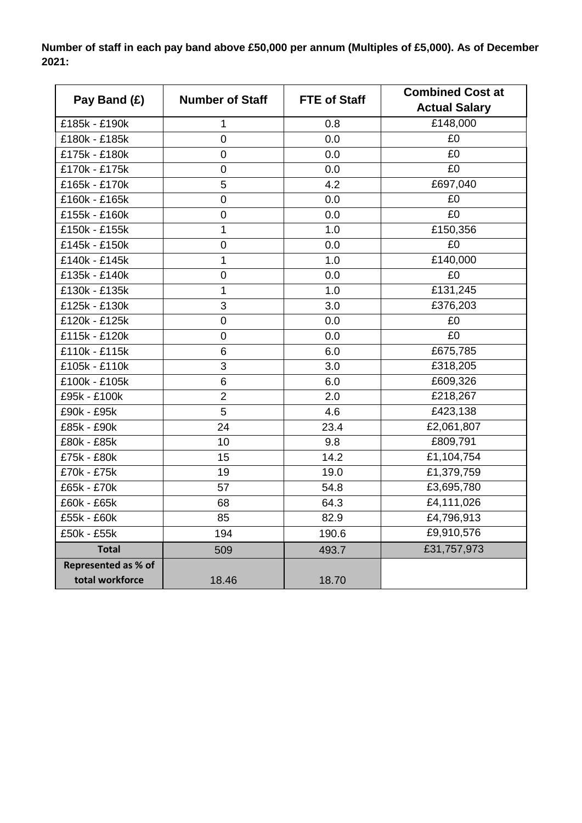**Number of staff in each pay band above £50,000 per annum (Multiples of £5,000). As of December 2021:** 

| Pay Band (£)        | <b>Number of Staff</b><br><b>FTE of Staff</b> |       | <b>Combined Cost at</b><br><b>Actual Salary</b> |  |  |
|---------------------|-----------------------------------------------|-------|-------------------------------------------------|--|--|
| £185k - £190k       | 1                                             | 0.8   | £148,000                                        |  |  |
| £180k - £185k       | $\overline{0}$                                | 0.0   | £0                                              |  |  |
| £175k - £180k       | $\overline{0}$                                | 0.0   | £0                                              |  |  |
| £170k - £175k       | $\mathbf 0$                                   | 0.0   | £0                                              |  |  |
| £165k - £170k       | 5                                             | 4.2   | £697,040                                        |  |  |
| £160k - £165k       | $\overline{0}$                                | 0.0   | £0                                              |  |  |
| £155k - £160k       | $\mathbf 0$                                   | 0.0   | $E_0$                                           |  |  |
| £150k - £155k       | 1                                             | 1.0   | £150,356                                        |  |  |
| £145k - £150k       | $\mathbf 0$                                   | 0.0   | £0                                              |  |  |
| £140k - £145k       | 1                                             | 1.0   | £140,000                                        |  |  |
| £135k - £140k       | $\overline{0}$                                | 0.0   | £0                                              |  |  |
| £130k - £135k       | 1                                             | 1.0   | £131,245                                        |  |  |
| £125k - £130k       | 3                                             | 3.0   | £376,203                                        |  |  |
| £120k - £125k       | 0                                             | 0.0   | £0                                              |  |  |
| £115k - £120k       | $\overline{0}$                                | 0.0   | $E_0$                                           |  |  |
| £110k - £115k       | 6                                             | 6.0   | £675,785                                        |  |  |
| £105k - £110k       | 3                                             | 3.0   | £318,205                                        |  |  |
| £100k - £105k       | 6                                             | 6.0   | £609,326                                        |  |  |
| £95k - £100k        | $\overline{2}$                                | 2.0   | £218,267                                        |  |  |
| £90k - £95k         | 5                                             | 4.6   | £423,138                                        |  |  |
| £85k - £90k         | 24                                            | 23.4  | £2,061,807                                      |  |  |
| £80k - £85k         | 10                                            | 9.8   | £809,791                                        |  |  |
| £75k - £80k         | 15                                            | 14.2  | $\overline{£}1, 104, 754$                       |  |  |
| £70k - £75k         | 19                                            | 19.0  | £1,379,759                                      |  |  |
| £65k - £70k         | 57                                            | 54.8  | £3,695,780                                      |  |  |
| £60k - £65k         | 68                                            | 64.3  | £4,111,026                                      |  |  |
| £55k - £60k         | 85                                            | 82.9  | £4,796,913                                      |  |  |
| £50k - £55k         | 194                                           | 190.6 | £9,910,576                                      |  |  |
| <b>Total</b>        | 509                                           | 493.7 | £31,757,973                                     |  |  |
| Represented as % of |                                               |       |                                                 |  |  |
| total workforce     | 18.46                                         | 18.70 |                                                 |  |  |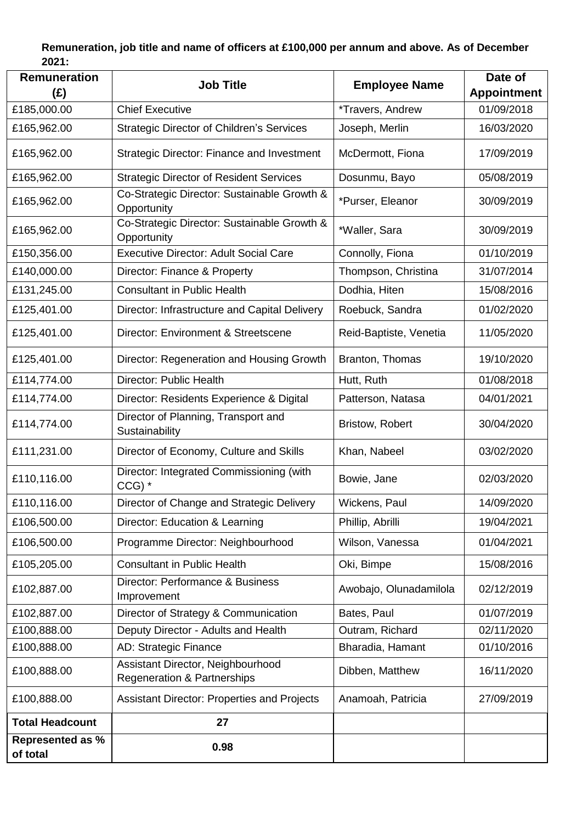## **Remuneration, job title and name of officers at £100,000 per annum and above. As of December 2021:**

| <b>Remuneration</b><br>$(\hat{z})$  | <b>Job Title</b>                                                            | <b>Employee Name</b>   | Date of<br><b>Appointment</b> |
|-------------------------------------|-----------------------------------------------------------------------------|------------------------|-------------------------------|
| £185,000.00                         | <b>Chief Executive</b>                                                      | *Travers, Andrew       | 01/09/2018                    |
| £165,962.00                         | <b>Strategic Director of Children's Services</b>                            | Joseph, Merlin         | 16/03/2020                    |
| £165,962.00                         | <b>Strategic Director: Finance and Investment</b>                           | McDermott, Fiona       | 17/09/2019                    |
| £165,962.00                         | <b>Strategic Director of Resident Services</b>                              | Dosunmu, Bayo          | 05/08/2019                    |
| £165,962.00                         | Co-Strategic Director: Sustainable Growth &<br>Opportunity                  | *Purser, Eleanor       | 30/09/2019                    |
| £165,962.00                         | Co-Strategic Director: Sustainable Growth &<br>Opportunity                  | *Waller, Sara          | 30/09/2019                    |
| £150,356.00                         | <b>Executive Director: Adult Social Care</b>                                | Connolly, Fiona        | 01/10/2019                    |
| £140,000.00                         | Director: Finance & Property                                                | Thompson, Christina    | 31/07/2014                    |
| £131,245.00                         | <b>Consultant in Public Health</b>                                          | Dodhia, Hiten          | 15/08/2016                    |
| £125,401.00                         | Director: Infrastructure and Capital Delivery                               | Roebuck, Sandra        | 01/02/2020                    |
| £125,401.00                         | Director: Environment & Streetscene                                         | Reid-Baptiste, Venetia | 11/05/2020                    |
| £125,401.00                         | Director: Regeneration and Housing Growth                                   | Branton, Thomas        | 19/10/2020                    |
| £114,774.00                         | Director: Public Health                                                     | Hutt, Ruth             | 01/08/2018                    |
| £114,774.00                         | Director: Residents Experience & Digital                                    | Patterson, Natasa      | 04/01/2021                    |
| £114,774.00                         | Director of Planning, Transport and<br>Sustainability                       | <b>Bristow, Robert</b> | 30/04/2020                    |
| £111,231.00                         | Director of Economy, Culture and Skills                                     | Khan, Nabeel           | 03/02/2020                    |
| £110,116.00                         | Director: Integrated Commissioning (with<br>$CCG)$ *                        | Bowie, Jane            | 02/03/2020                    |
| £110,116.00                         | Director of Change and Strategic Delivery                                   | Wickens, Paul          | 14/09/2020                    |
| £106,500.00                         | Director: Education & Learning                                              | Phillip, Abrilli       | 19/04/2021                    |
| £106,500.00                         | Programme Director: Neighbourhood                                           | Wilson, Vanessa        | 01/04/2021                    |
| £105,205.00                         | <b>Consultant in Public Health</b>                                          | Oki, Bimpe             | 15/08/2016                    |
| £102,887.00                         | Director: Performance & Business<br>Improvement                             | Awobajo, Olunadamilola | 02/12/2019                    |
| £102,887.00                         | Director of Strategy & Communication                                        | Bates, Paul            | 01/07/2019                    |
| £100,888.00                         | Deputy Director - Adults and Health                                         | Outram, Richard        | 02/11/2020                    |
| £100,888.00                         | AD: Strategic Finance                                                       | Bharadia, Hamant       | 01/10/2016                    |
| £100,888.00                         | Assistant Director, Neighbourhood<br><b>Regeneration &amp; Partnerships</b> | Dibben, Matthew        | 16/11/2020                    |
| £100,888.00                         | <b>Assistant Director: Properties and Projects</b>                          | Anamoah, Patricia      | 27/09/2019                    |
| <b>Total Headcount</b>              | 27                                                                          |                        |                               |
| <b>Represented as %</b><br>of total | 0.98                                                                        |                        |                               |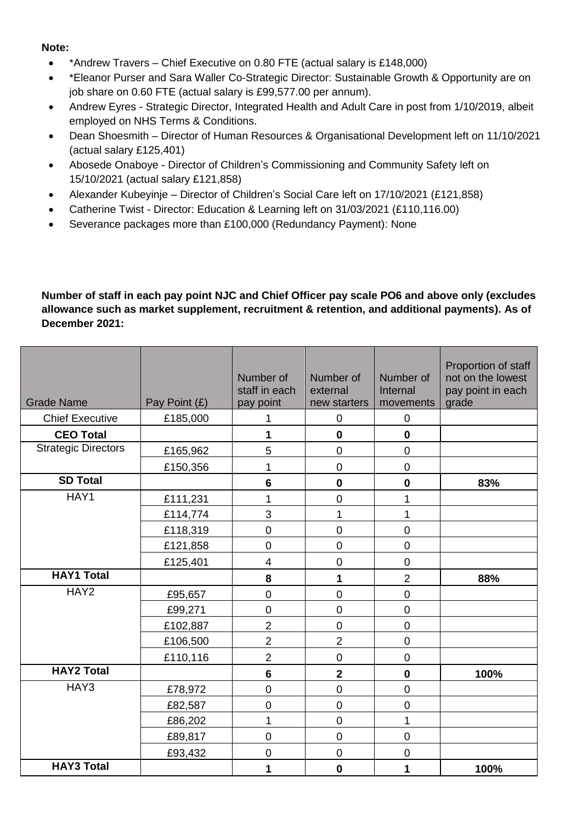#### **Note:**

- \*Andrew Travers Chief Executive on 0.80 FTE (actual salary is £148,000)
- \*Eleanor Purser and Sara Waller Co-Strategic Director: Sustainable Growth & Opportunity are on job share on 0.60 FTE (actual salary is £99,577.00 per annum).
- Andrew Eyres Strategic Director, Integrated Health and Adult Care in post from 1/10/2019, albeit employed on NHS Terms & Conditions.
- Dean Shoesmith Director of Human Resources & Organisational Development left on 11/10/2021 (actual salary £125,401)
- Abosede Onaboye Director of Children's Commissioning and Community Safety left on 15/10/2021 (actual salary £121,858)
- Alexander Kubeyinje Director of Children's Social Care left on 17/10/2021 (£121,858)
- Catherine Twist Director: Education & Learning left on 31/03/2021 (£110,116.00)
- Severance packages more than £100,000 (Redundancy Payment): None

**Number of staff in each pay point NJC and Chief Officer pay scale PO6 and above only (excludes allowance such as market supplement, recruitment & retention, and additional payments). As of December 2021:** 

| <b>Grade Name</b>          | Pay Point (£) | Number of<br>staff in each<br>pay point | Number of<br>external<br>new starters | Number of<br>Internal<br>movements | Proportion of staff<br>not on the lowest<br>pay point in each<br>grade |
|----------------------------|---------------|-----------------------------------------|---------------------------------------|------------------------------------|------------------------------------------------------------------------|
| <b>Chief Executive</b>     | £185,000      | 1                                       | $\mathsf 0$                           | $\pmb{0}$                          |                                                                        |
| <b>CEO Total</b>           |               | 1                                       | $\mathbf 0$                           | $\mathbf 0$                        |                                                                        |
| <b>Strategic Directors</b> | £165,962      | 5                                       | $\mathsf 0$                           | $\pmb{0}$                          |                                                                        |
|                            | £150,356      | 1                                       | 0                                     | $\mathbf 0$                        |                                                                        |
| <b>SD Total</b>            |               | $6\phantom{1}6$                         | $\mathbf 0$                           | $\mathbf 0$                        | 83%                                                                    |
| HAY1                       | £111,231      | 1                                       | $\overline{0}$                        | 1                                  |                                                                        |
|                            | £114,774      | 3                                       | 1                                     | 1                                  |                                                                        |
|                            | £118,319      | $\mathbf 0$                             | $\mathbf 0$                           | $\mathbf 0$                        |                                                                        |
|                            | £121,858      | $\mathbf 0$                             | $\overline{0}$                        | $\mathbf 0$                        |                                                                        |
|                            | £125,401      | 4                                       | $\mathbf 0$                           | $\pmb{0}$                          |                                                                        |
| <b>HAY1 Total</b>          |               | 8                                       | 1                                     | $\overline{2}$                     | 88%                                                                    |
| HAY2                       | £95,657       | $\mathbf 0$                             | $\mathbf 0$                           | $\pmb{0}$                          |                                                                        |
|                            | £99,271       | $\mathbf 0$                             | $\mathbf 0$                           | $\mathbf 0$                        |                                                                        |
|                            | £102,887      | $\overline{2}$                          | $\mathbf 0$                           | $\pmb{0}$                          |                                                                        |
|                            | £106,500      | $\overline{2}$                          | $\overline{2}$                        | $\pmb{0}$                          |                                                                        |
|                            | £110,116      | $\overline{2}$                          | $\mathbf 0$                           | $\mathbf 0$                        |                                                                        |
| <b>HAY2 Total</b>          |               | $6\phantom{a}$                          | $\overline{\mathbf{2}}$               | $\mathbf 0$                        | 100%                                                                   |
| HAY3                       | £78,972       | $\mathbf 0$                             | $\mathbf 0$                           | $\mathbf 0$                        |                                                                        |
|                            | £82,587       | $\boldsymbol{0}$                        | $\pmb{0}$                             | $\pmb{0}$                          |                                                                        |
|                            | £86,202       | 1                                       | $\overline{0}$                        | 1                                  |                                                                        |
|                            | £89,817       | $\mathbf 0$                             | $\mathbf 0$                           | $\mathbf 0$                        |                                                                        |
|                            | £93,432       | $\mathsf 0$                             | $\mathbf 0$                           | $\pmb{0}$                          |                                                                        |
| <b>HAY3 Total</b>          |               | 1                                       | $\mathbf 0$                           | 1                                  | 100%                                                                   |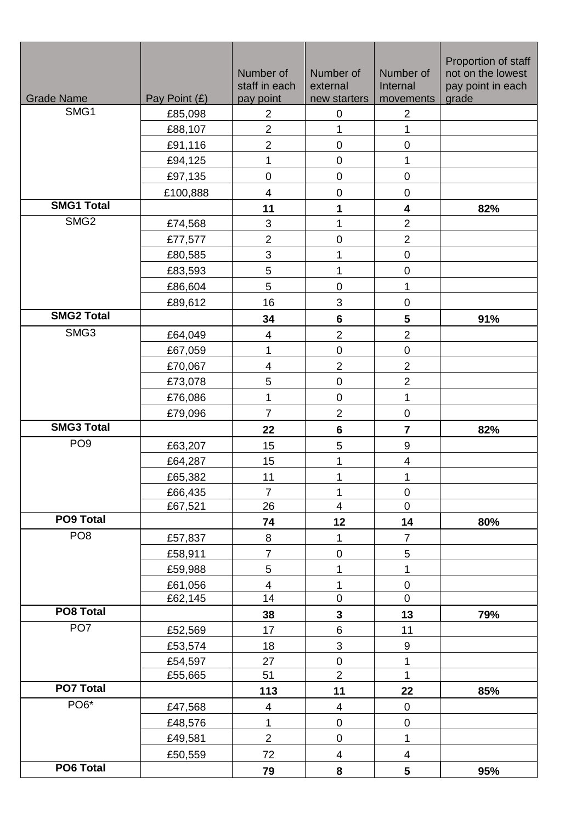| <b>Grade Name</b> | Pay Point (£)      | Number of<br>staff in each<br>pay point | Number of<br>external<br>new starters | Number of<br>Internal<br>movements | Proportion of staff<br>not on the lowest<br>pay point in each<br>grade |
|-------------------|--------------------|-----------------------------------------|---------------------------------------|------------------------------------|------------------------------------------------------------------------|
| SMG1              | £85,098            | $\overline{2}$                          | 0                                     | $\overline{2}$                     |                                                                        |
|                   | £88,107            | $\overline{2}$                          | 1                                     | 1                                  |                                                                        |
|                   | £91,116            | $\overline{2}$                          | $\boldsymbol{0}$                      | $\pmb{0}$                          |                                                                        |
|                   | £94,125            | 1                                       | $\mathbf 0$                           | 1                                  |                                                                        |
|                   | £97,135            | $\mathsf{O}\xspace$                     | $\mathbf 0$                           | $\pmb{0}$                          |                                                                        |
|                   | £100,888           | $\overline{\mathbf{4}}$                 | $\pmb{0}$                             | $\mathbf 0$                        |                                                                        |
| <b>SMG1 Total</b> |                    | 11                                      | 1                                     | 4                                  | 82%                                                                    |
| SMG <sub>2</sub>  | £74,568            | $\mathfrak{S}$                          | 1                                     | $\overline{c}$                     |                                                                        |
|                   | £77,577            | $\overline{2}$                          | $\boldsymbol{0}$                      | $\overline{2}$                     |                                                                        |
|                   | £80,585            | $\mathbf 3$                             | 1                                     | $\pmb{0}$                          |                                                                        |
|                   | £83,593            | 5                                       | 1                                     | $\pmb{0}$                          |                                                                        |
|                   | £86,604            | 5                                       | $\boldsymbol{0}$                      | 1                                  |                                                                        |
|                   | £89,612            | 16                                      | 3                                     | $\pmb{0}$                          |                                                                        |
| <b>SMG2 Total</b> |                    | 34                                      | 6                                     | 5                                  | 91%                                                                    |
| SMG3              | £64,049            | $\overline{\mathbf{4}}$                 | $\overline{c}$                        | $\overline{\mathbf{c}}$            |                                                                        |
|                   | £67,059            | 1                                       | $\boldsymbol{0}$                      | $\pmb{0}$                          |                                                                        |
|                   | £70,067            | $\overline{\mathbf{4}}$                 | $\overline{2}$                        | $\overline{2}$                     |                                                                        |
|                   | £73,078            | 5                                       | $\mathsf 0$                           | $\overline{\mathbf{c}}$            |                                                                        |
|                   | £76,086            | $\mathbf 1$                             | $\mathbf 0$                           | $\mathbf 1$                        |                                                                        |
|                   | £79,096            | $\overline{7}$                          | $\overline{2}$                        | $\pmb{0}$                          |                                                                        |
| <b>SMG3 Total</b> |                    | 22                                      | $\bf 6$                               | $\overline{\mathbf{r}}$            | 82%                                                                    |
| PO <sub>9</sub>   | £63,207            | 15                                      | 5                                     | $\boldsymbol{9}$                   |                                                                        |
|                   | £64,287            | 15                                      | 1                                     | 4                                  |                                                                        |
|                   | £65,382            | 11                                      | 1                                     | 1                                  |                                                                        |
|                   | £66,435            | $\overline{7}$                          | 1                                     | $\pmb{0}$                          |                                                                        |
|                   | £67,521            | 26                                      | $\overline{\mathbf{4}}$               | $\mathbf 0$                        |                                                                        |
| PO9 Total         |                    | 74                                      | 12                                    | 14                                 | 80%                                                                    |
| PO <sub>8</sub>   | £57,837            | $\, 8$                                  | $\mathbf 1$                           | $\overline{7}$                     |                                                                        |
|                   | £58,911            | $\overline{7}$                          | $\mathbf 0$                           | 5                                  |                                                                        |
|                   | £59,988            | 5                                       | 1                                     | 1                                  |                                                                        |
|                   | £61,056            | $\overline{\mathbf{4}}$                 | $\mathbf 1$                           | $\pmb{0}$                          |                                                                        |
| PO8 Total         | £62,145            | 14                                      | $\overline{0}$                        | $\mathbf 0$                        |                                                                        |
| PO <sub>7</sub>   |                    | 38                                      | 3                                     | 13                                 | 79%                                                                    |
|                   | £52,569            | 17                                      | $\,6$                                 | 11                                 |                                                                        |
|                   | £53,574            | 18                                      | 3                                     | 9                                  |                                                                        |
|                   | £54,597<br>£55,665 | 27<br>51                                | $\mathbf 0$<br>$\overline{2}$         | $\mathbf{1}$<br>1                  |                                                                        |
| <b>PO7 Total</b>  |                    | 113                                     | 11                                    | 22                                 | 85%                                                                    |
| PO <sub>6</sub> * |                    | $\overline{\mathbf{4}}$                 | $\overline{\mathbf{4}}$               | $\pmb{0}$                          |                                                                        |
|                   | £47,568<br>£48,576 | $\mathbf 1$                             | $\mathbf 0$                           | $\mathsf 0$                        |                                                                        |
|                   | £49,581            | $\overline{2}$                          | $\mathbf 0$                           | 1                                  |                                                                        |
|                   |                    | 72                                      | $\overline{\mathbf{4}}$               | $\overline{\mathbf{4}}$            |                                                                        |
| PO6 Total         | £50,559            |                                         |                                       |                                    |                                                                        |
|                   |                    | 79                                      | 8                                     | 5                                  | 95%                                                                    |